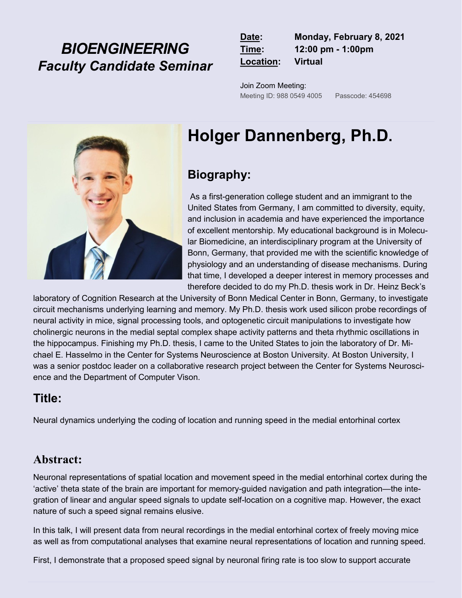## *BIOENGINEERING Faculty Candidate Seminar*

| Date:     | Monday, February 8, 2021 |
|-----------|--------------------------|
| Time:     | 12:00 pm - 1:00pm        |
| Location: | <b>Virtual</b>           |

Join Zoom Meeting: Meeting ID: 988 0549 4005 Passcode: 454698



# **Holger Dannenberg, Ph.D.**

## **Biography:**

As a first-generation college student and an immigrant to the United States from Germany, I am committed to diversity, equity, and inclusion in academia and have experienced the importance of excellent mentorship. My educational background is in Molecular Biomedicine, an interdisciplinary program at the University of Bonn, Germany, that provided me with the scientific knowledge of physiology and an understanding of disease mechanisms. During that time, I developed a deeper interest in memory processes and therefore decided to do my Ph.D. thesis work in Dr. Heinz Beck's

laboratory of Cognition Research at the University of Bonn Medical Center in Bonn, Germany, to investigate circuit mechanisms underlying learning and memory. My Ph.D. thesis work used silicon probe recordings of neural activity in mice, signal processing tools, and optogenetic circuit manipulations to investigate how cholinergic neurons in the medial septal complex shape activity patterns and theta rhythmic oscillations in the hippocampus. Finishing my Ph.D. thesis, I came to the United States to join the laboratory of Dr. Michael E. Hasselmo in the Center for Systems Neuroscience at Boston University. At Boston University, I was a senior postdoc leader on a collaborative research project between the Center for Systems Neuroscience and the Department of Computer Vison.

### **Title:**

Neural dynamics underlying the coding of location and running speed in the medial entorhinal cortex

#### **Abstract:**

Neuronal representations of spatial location and movement speed in the medial entorhinal cortex during the 'active' theta state of the brain are important for memory-guided navigation and path integration—the integration of linear and angular speed signals to update self-location on a cognitive map. However, the exact nature of such a speed signal remains elusive.

In this talk, I will present data from neural recordings in the medial entorhinal cortex of freely moving mice as well as from computational analyses that examine neural representations of location and running speed.

First, I demonstrate that a proposed speed signal by neuronal firing rate is too slow to support accurate